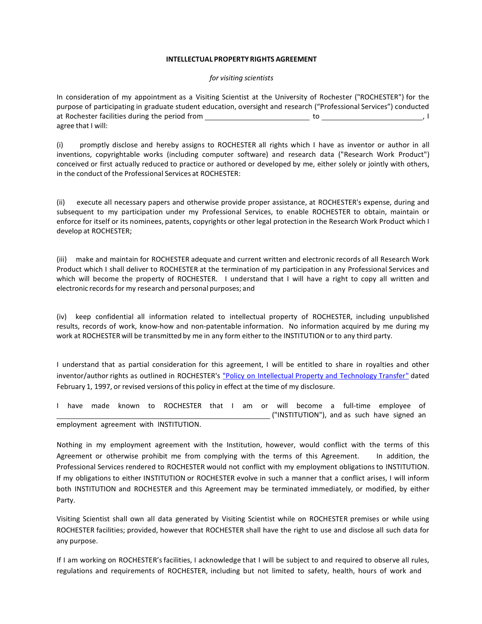## **INTELLECTUAL PROPERTY RIGHTS AGREEMENT**

## *for visiting scientists*

In consideration of my appointment as a Visiting Scientist at the University of Rochester ("ROCHESTER") for the purpose of participating in graduate student education, oversight and research ("Professional Services") conducted at Rochester facilities during the period from the state of the state of the state of the state of the state of the state of the state of the state of the state of the state of the state of the state of the state of the st agree that I will:

(i) promptly disclose and hereby assigns to ROCHESTER all rights which I have as inventor or author in all inventions, copyrightable works (including computer software) and research data ("Research Work Product") conceived or first actually reduced to practice or authored or developed by me, either solely or jointly with others, in the conduct of the Professional Services at ROCHESTER:

(ii) execute all necessary papers and otherwise provide proper assistance, at ROCHESTER's expense, during and subsequent to my participation under my Professional Services, to enable ROCHESTER to obtain, maintain or enforce for itself or its nominees, patents, copyrights or other legal protection in the Research Work Product which I develop at ROCHESTER;

(iii) make and maintain for ROCHESTER adequate and current written and electronic records of all Research Work Product which I shall deliver to ROCHESTER at the termination of my participation in any Professional Services and which will become the property of ROCHESTER. I understand that I will have a right to copy all written and electronic recordsfor my research and personal purposes; and

(iv) keep confidential all information related to intellectual property of ROCHESTER, including unpublished results, records of work, know-how and non-patentable information. No information acquired by me during my work at ROCHESTER will be transmitted by me in any form either to the INSTITUTION or to any third party.

I understand that as partial consideration for this agreement, I will be entitled to share in royalties and other inventor/author rights as outlined in ROCHESTER's "Policy on Intellectual Property and [Technology](http://www.urmc.rochester.edu/techtransfer/faculty/index.cfm) Transfer" dated February 1, 1997, or revised versions of this policy in effect at the time of my disclosure.

I have made known to ROCHESTER that I am or will become a full-time employee of ("INSTITUTION"), and as such have signed an employment agreement with INSTITUTION.

Nothing in my employment agreement with the Institution, however, would conflict with the terms of this Agreement or otherwise prohibit me from complying with the terms of this Agreement. In addition, the Professional Services rendered to ROCHESTER would not conflict with my employment obligations to INSTITUTION. If my obligations to either INSTITUTION or ROCHESTER evolve in such a manner that a conflict arises, I will inform both INSTITUTION and ROCHESTER and this Agreement may be terminated immediately, or modified, by either Party.

Visiting Scientist shall own all data generated by Visiting Scientist while on ROCHESTER premises or while using ROCHESTER facilities; provided, however that ROCHESTER shall have the right to use and disclose all such data for any purpose.

If I am working on ROCHESTER'sfacilities, I acknowledge that I will be subject to and required to observe all rules, regulations and requirements of ROCHESTER, including but not limited to safety, health, hours of work and